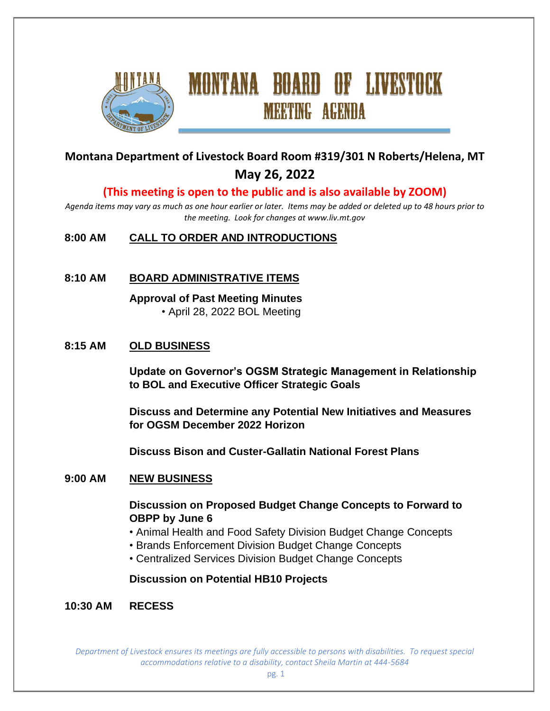

# **Montana Department of Livestock Board Room #319/301 N Roberts/Helena, MT May 26, 2022**

**MEETING AGENDA** 

#### **(This meeting is open to the public and is also available by ZOOM)**

*Agenda items may vary as much as one hour earlier or later. Items may be added or deleted up to 48 hours prior to the meeting. Look for changes at www.liv.mt.gov*

#### **8:00 AM CALL TO ORDER AND INTRODUCTIONS**

#### **8:10 AM BOARD ADMINISTRATIVE ITEMS**

**Approval of Past Meeting Minutes** • April 28, 2022 BOL Meeting

#### **8:15 AM OLD BUSINESS**

**Update on Governor's OGSM Strategic Management in Relationship to BOL and Executive Officer Strategic Goals**

**Discuss and Determine any Potential New Initiatives and Measures for OGSM December 2022 Horizon**

**Discuss Bison and Custer-Gallatin National Forest Plans**

#### **9:00 AM NEW BUSINESS**

**Discussion on Proposed Budget Change Concepts to Forward to OBPP by June 6**

- Animal Health and Food Safety Division Budget Change Concepts
- Brands Enforcement Division Budget Change Concepts
- Centralized Services Division Budget Change Concepts

#### **Discussion on Potential HB10 Projects**

**10:30 AM RECESS**

*Department of Livestock ensures its meetings are fully accessible to persons with disabilities. To request special accommodations relative to a disability, contact Sheila Martin at 444-5684*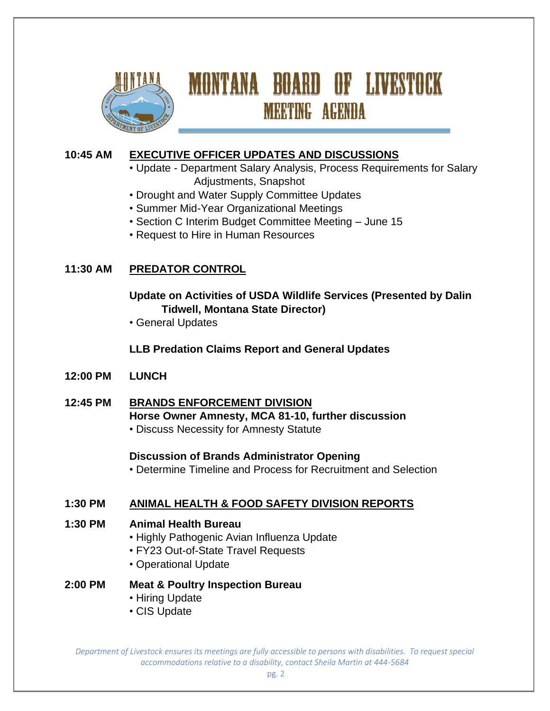

# MONTANA BOARD OF LIVESTOCK **MEETING AGENDA**

# **10:45 AM EXECUTIVE OFFICER UPDATES AND DISCUSSIONS**

- Update Department Salary Analysis, Process Requirements for Salary Adjustments, Snapshot
- Drought and Water Supply Committee Updates
- Summer Mid-Year Organizational Meetings
- Section C Interim Budget Committee Meeting June 15
- Request to Hire in Human Resources

# **11:30 AM PREDATOR CONTROL**

**Update on Activities of USDA Wildlife Services (Presented by Dalin Tidwell, Montana State Director)**

• General Updates

#### **LLB Predation Claims Report and General Updates**

- **12:00 PM LUNCH**
- **12:45 PM BRANDS ENFORCEMENT DIVISION Horse Owner Amnesty, MCA 81-10, further discussion** • Discuss Necessity for Amnesty Statute

#### **Discussion of Brands Administrator Opening**

• Determine Timeline and Process for Recruitment and Selection

# **1:30 PM ANIMAL HEALTH & FOOD SAFETY DIVISION REPORTS**

#### **1:30 PM Animal Health Bureau**

- Highly Pathogenic Avian Influenza Update
- FY23 Out-of-State Travel Requests
- Operational Update

#### **2:00 PM Meat & Poultry Inspection Bureau**

- Hiring Update
- CIS Update

*Department of Livestock ensures its meetings are fully accessible to persons with disabilities. To request special accommodations relative to a disability, contact Sheila Martin at 444-5684*